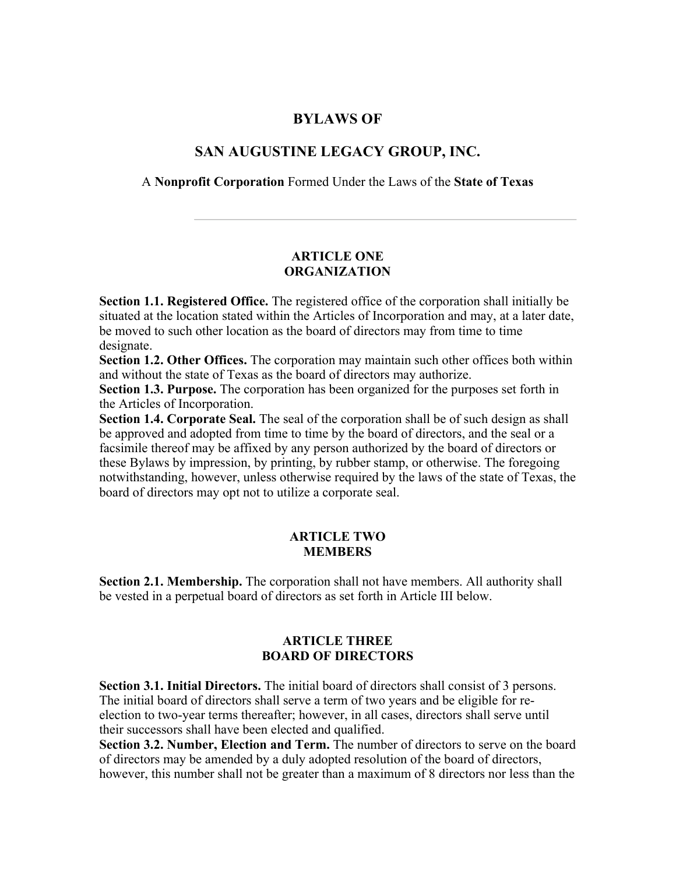# **BYLAWS OF**

# **SAN AUGUSTINE LEGACY GROUP, INC.**

A **Nonprofit Corporation** Formed Under the Laws of the **State of Texas**

### **ARTICLE ONE ORGANIZATION**

**Section 1.1. Registered Office.** The registered office of the corporation shall initially be situated at the location stated within the Articles of Incorporation and may, at a later date, be moved to such other location as the board of directors may from time to time designate.

**Section 1.2. Other Offices.** The corporation may maintain such other offices both within and without the state of Texas as the board of directors may authorize.

**Section 1.3. Purpose.** The corporation has been organized for the purposes set forth in the Articles of Incorporation.

**Section 1.4. Corporate Seal.** The seal of the corporation shall be of such design as shall be approved and adopted from time to time by the board of directors, and the seal or a facsimile thereof may be affixed by any person authorized by the board of directors or these Bylaws by impression, by printing, by rubber stamp, or otherwise. The foregoing notwithstanding, however, unless otherwise required by the laws of the state of Texas, the board of directors may opt not to utilize a corporate seal.

### **ARTICLE TWO MEMBERS**

**Section 2.1. Membership.** The corporation shall not have members. All authority shall be vested in a perpetual board of directors as set forth in Article III below.

### **ARTICLE THREE BOARD OF DIRECTORS**

**Section 3.1. Initial Directors.** The initial board of directors shall consist of 3 persons. The initial board of directors shall serve a term of two years and be eligible for reelection to two-year terms thereafter; however, in all cases, directors shall serve until their successors shall have been elected and qualified.

**Section 3.2. Number, Election and Term.** The number of directors to serve on the board of directors may be amended by a duly adopted resolution of the board of directors, however, this number shall not be greater than a maximum of 8 directors nor less than the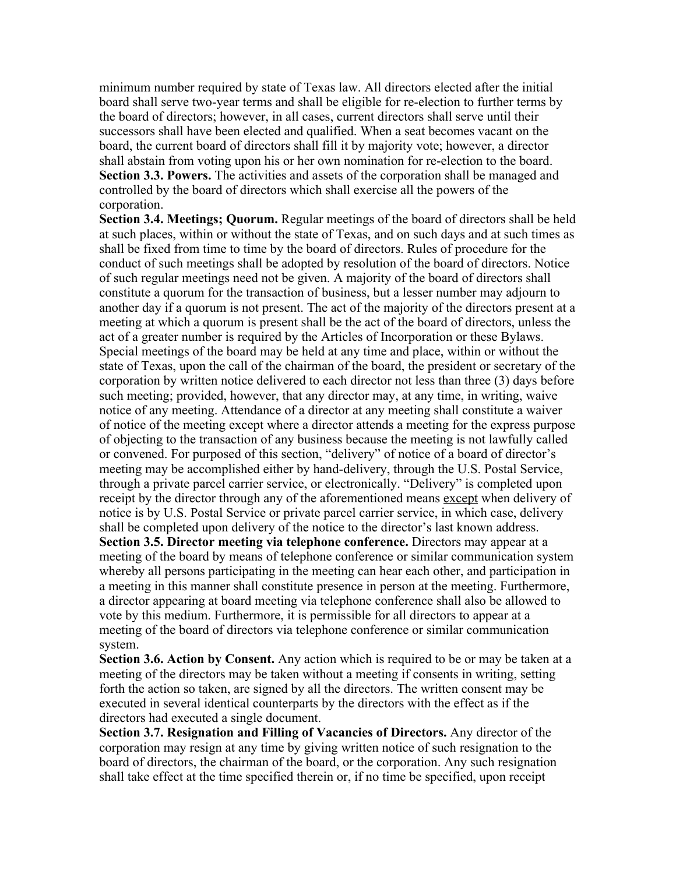minimum number required by state of Texas law. All directors elected after the initial board shall serve two-year terms and shall be eligible for re-election to further terms by the board of directors; however, in all cases, current directors shall serve until their successors shall have been elected and qualified. When a seat becomes vacant on the board, the current board of directors shall fill it by majority vote; however, a director shall abstain from voting upon his or her own nomination for re-election to the board. **Section 3.3. Powers.** The activities and assets of the corporation shall be managed and controlled by the board of directors which shall exercise all the powers of the corporation.

**Section 3.4. Meetings; Quorum.** Regular meetings of the board of directors shall be held at such places, within or without the state of Texas, and on such days and at such times as shall be fixed from time to time by the board of directors. Rules of procedure for the conduct of such meetings shall be adopted by resolution of the board of directors. Notice of such regular meetings need not be given. A majority of the board of directors shall constitute a quorum for the transaction of business, but a lesser number may adjourn to another day if a quorum is not present. The act of the majority of the directors present at a meeting at which a quorum is present shall be the act of the board of directors, unless the act of a greater number is required by the Articles of Incorporation or these Bylaws. Special meetings of the board may be held at any time and place, within or without the state of Texas, upon the call of the chairman of the board, the president or secretary of the corporation by written notice delivered to each director not less than three (3) days before such meeting; provided, however, that any director may, at any time, in writing, waive notice of any meeting. Attendance of a director at any meeting shall constitute a waiver of notice of the meeting except where a director attends a meeting for the express purpose of objecting to the transaction of any business because the meeting is not lawfully called or convened. For purposed of this section, "delivery" of notice of a board of director's meeting may be accomplished either by hand-delivery, through the U.S. Postal Service, through a private parcel carrier service, or electronically. "Delivery" is completed upon receipt by the director through any of the aforementioned means except when delivery of notice is by U.S. Postal Service or private parcel carrier service, in which case, delivery shall be completed upon delivery of the notice to the director's last known address. **Section 3.5. Director meeting via telephone conference.** Directors may appear at a meeting of the board by means of telephone conference or similar communication system whereby all persons participating in the meeting can hear each other, and participation in a meeting in this manner shall constitute presence in person at the meeting. Furthermore, a director appearing at board meeting via telephone conference shall also be allowed to vote by this medium. Furthermore, it is permissible for all directors to appear at a meeting of the board of directors via telephone conference or similar communication system.

**Section 3.6. Action by Consent.** Any action which is required to be or may be taken at a meeting of the directors may be taken without a meeting if consents in writing, setting forth the action so taken, are signed by all the directors. The written consent may be executed in several identical counterparts by the directors with the effect as if the directors had executed a single document.

**Section 3.7. Resignation and Filling of Vacancies of Directors.** Any director of the corporation may resign at any time by giving written notice of such resignation to the board of directors, the chairman of the board, or the corporation. Any such resignation shall take effect at the time specified therein or, if no time be specified, upon receipt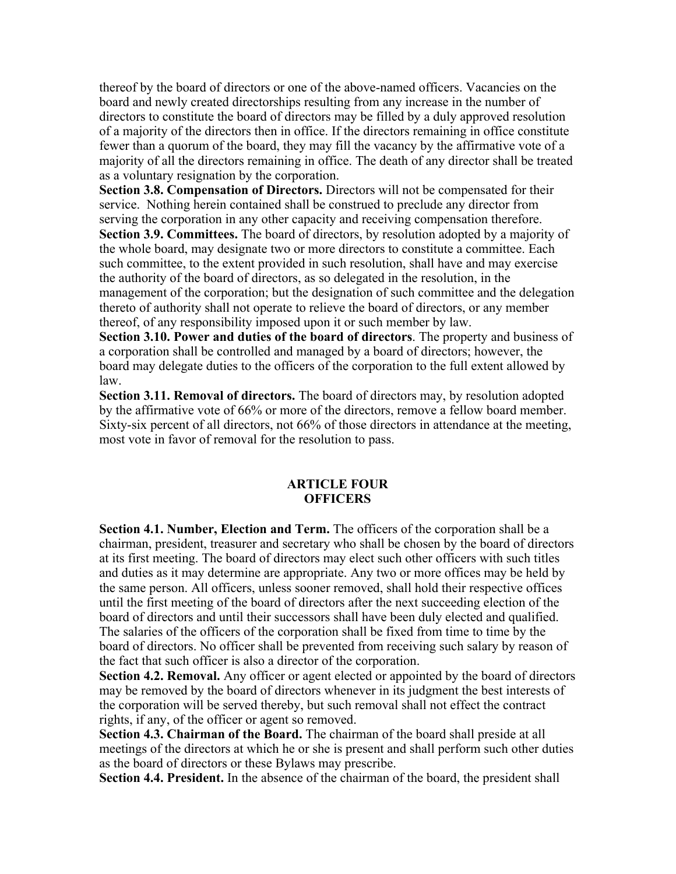thereof by the board of directors or one of the above-named officers. Vacancies on the board and newly created directorships resulting from any increase in the number of directors to constitute the board of directors may be filled by a duly approved resolution of a majority of the directors then in office. If the directors remaining in office constitute fewer than a quorum of the board, they may fill the vacancy by the affirmative vote of a majority of all the directors remaining in office. The death of any director shall be treated as a voluntary resignation by the corporation.

**Section 3.8. Compensation of Directors.** Directors will not be compensated for their service. Nothing herein contained shall be construed to preclude any director from serving the corporation in any other capacity and receiving compensation therefore. **Section 3.9. Committees.** The board of directors, by resolution adopted by a majority of the whole board, may designate two or more directors to constitute a committee. Each such committee, to the extent provided in such resolution, shall have and may exercise the authority of the board of directors, as so delegated in the resolution, in the management of the corporation; but the designation of such committee and the delegation thereto of authority shall not operate to relieve the board of directors, or any member thereof, of any responsibility imposed upon it or such member by law.

**Section 3.10. Power and duties of the board of directors**. The property and business of a corporation shall be controlled and managed by a board of directors; however, the board may delegate duties to the officers of the corporation to the full extent allowed by law.

**Section 3.11. Removal of directors.** The board of directors may, by resolution adopted by the affirmative vote of 66% or more of the directors, remove a fellow board member. Sixty-six percent of all directors, not 66% of those directors in attendance at the meeting, most vote in favor of removal for the resolution to pass.

#### **ARTICLE FOUR OFFICERS**

**Section 4.1. Number, Election and Term.** The officers of the corporation shall be a chairman, president, treasurer and secretary who shall be chosen by the board of directors at its first meeting. The board of directors may elect such other officers with such titles and duties as it may determine are appropriate. Any two or more offices may be held by the same person. All officers, unless sooner removed, shall hold their respective offices until the first meeting of the board of directors after the next succeeding election of the board of directors and until their successors shall have been duly elected and qualified. The salaries of the officers of the corporation shall be fixed from time to time by the board of directors. No officer shall be prevented from receiving such salary by reason of the fact that such officer is also a director of the corporation.

**Section 4.2. Removal.** Any officer or agent elected or appointed by the board of directors may be removed by the board of directors whenever in its judgment the best interests of the corporation will be served thereby, but such removal shall not effect the contract rights, if any, of the officer or agent so removed.

**Section 4.3. Chairman of the Board.** The chairman of the board shall preside at all meetings of the directors at which he or she is present and shall perform such other duties as the board of directors or these Bylaws may prescribe.

**Section 4.4. President.** In the absence of the chairman of the board, the president shall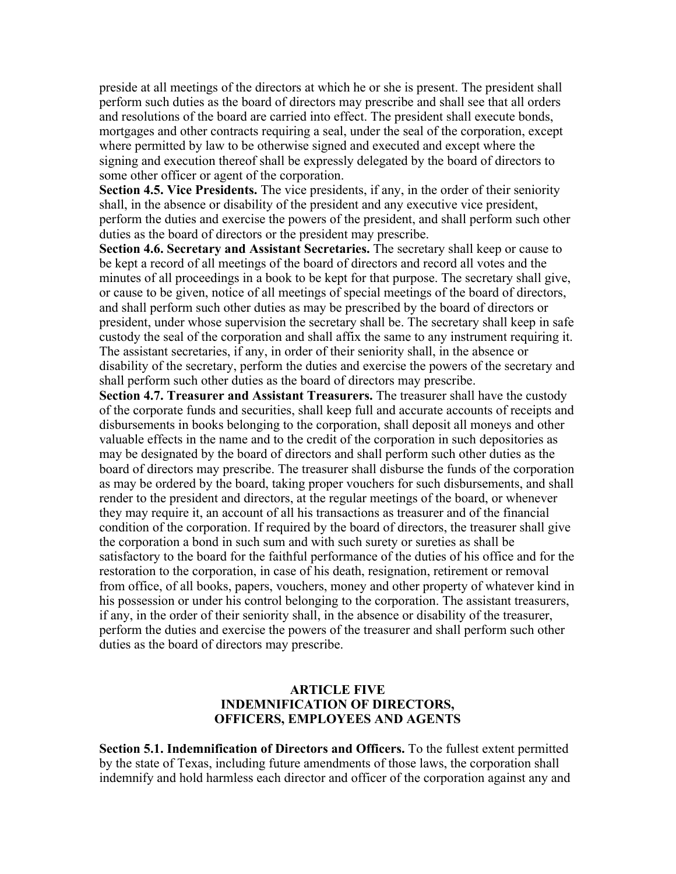preside at all meetings of the directors at which he or she is present. The president shall perform such duties as the board of directors may prescribe and shall see that all orders and resolutions of the board are carried into effect. The president shall execute bonds, mortgages and other contracts requiring a seal, under the seal of the corporation, except where permitted by law to be otherwise signed and executed and except where the signing and execution thereof shall be expressly delegated by the board of directors to some other officer or agent of the corporation.

**Section 4.5. Vice Presidents.** The vice presidents, if any, in the order of their seniority shall, in the absence or disability of the president and any executive vice president, perform the duties and exercise the powers of the president, and shall perform such other duties as the board of directors or the president may prescribe.

**Section 4.6. Secretary and Assistant Secretaries.** The secretary shall keep or cause to be kept a record of all meetings of the board of directors and record all votes and the minutes of all proceedings in a book to be kept for that purpose. The secretary shall give, or cause to be given, notice of all meetings of special meetings of the board of directors, and shall perform such other duties as may be prescribed by the board of directors or president, under whose supervision the secretary shall be. The secretary shall keep in safe custody the seal of the corporation and shall affix the same to any instrument requiring it. The assistant secretaries, if any, in order of their seniority shall, in the absence or disability of the secretary, perform the duties and exercise the powers of the secretary and shall perform such other duties as the board of directors may prescribe.

**Section 4.7. Treasurer and Assistant Treasurers.** The treasurer shall have the custody of the corporate funds and securities, shall keep full and accurate accounts of receipts and disbursements in books belonging to the corporation, shall deposit all moneys and other valuable effects in the name and to the credit of the corporation in such depositories as may be designated by the board of directors and shall perform such other duties as the board of directors may prescribe. The treasurer shall disburse the funds of the corporation as may be ordered by the board, taking proper vouchers for such disbursements, and shall render to the president and directors, at the regular meetings of the board, or whenever they may require it, an account of all his transactions as treasurer and of the financial condition of the corporation. If required by the board of directors, the treasurer shall give the corporation a bond in such sum and with such surety or sureties as shall be satisfactory to the board for the faithful performance of the duties of his office and for the restoration to the corporation, in case of his death, resignation, retirement or removal from office, of all books, papers, vouchers, money and other property of whatever kind in his possession or under his control belonging to the corporation. The assistant treasurers, if any, in the order of their seniority shall, in the absence or disability of the treasurer, perform the duties and exercise the powers of the treasurer and shall perform such other duties as the board of directors may prescribe.

#### **ARTICLE FIVE INDEMNIFICATION OF DIRECTORS, OFFICERS, EMPLOYEES AND AGENTS**

**Section 5.1. Indemnification of Directors and Officers.** To the fullest extent permitted by the state of Texas, including future amendments of those laws, the corporation shall indemnify and hold harmless each director and officer of the corporation against any and